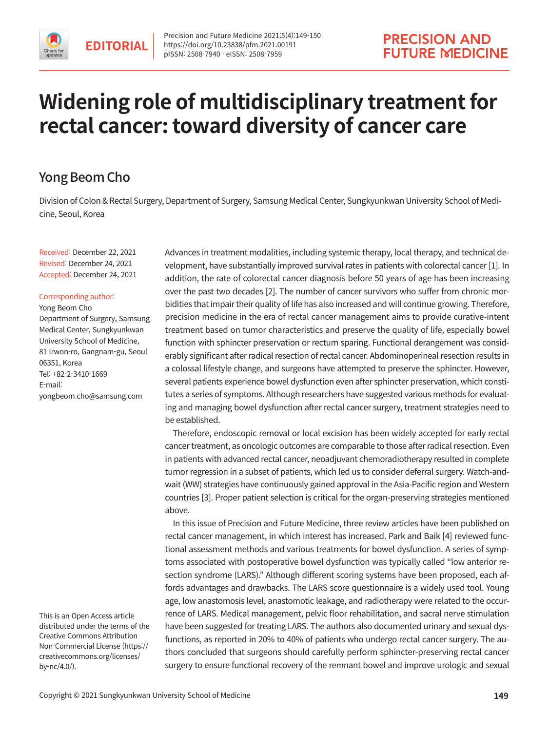

# **Widening role of multidisciplinary treatment for rectal cancer: toward diversity of cancer care**

# Yong Beom Cho

Division of Colon & Rectal Surgery, Department of Surgery, Samsung Medical Center, Sungkyunkwan University School of Medicine, Seoul, Korea

Received: December 22, 2021 Revised: December 24, 2021 Accepted: December 24, 2021

#### Corresponding author:

Yong Beom Cho Department of Surgery, Samsung Medical Center, Sungkyunkwan University School of Medicine, 81 Irwon-ro, Gangnam-gu, Seoul 06351, Korea Tel: +82-2-3410-1669 E-mail: yongbeom.cho@samsung.com

This is an Open Access article distributed under the terms of the Creative Commons Attribution Non-Commercial License (https:// creativecommons.org/licenses/ by-nc/4.0/).

Advances in treatment modalities, including systemic therapy, local therapy, and technical development, have substantially improved survival rates in patients with colorectal cancer [1]. In addition, the rate of colorectal cancer diagnosis before 50 years of age has been increasing over the past two decades [2]. The number of cancer survivors who suffer from chronic morbidities that impair their quality of life has also increased and will continue growing. Therefore, precision medicine in the era of rectal cancer management aims to provide curative-intent treatment based on tumor characteristics and preserve the quality of life, especially bowel function with sphincter preservation or rectum sparing. Functional derangement was considerably significant after radical resection of rectal cancer. Abdominoperineal resection results in a colossal lifestyle change, and surgeons have attempted to preserve the sphincter. However, several patients experience bowel dysfunction even after sphincter preservation, which constitutes a series of symptoms. Although researchers have suggested various methods for evaluating and managing bowel dysfunction after rectal cancer surgery, treatment strategies need to be established.

Therefore, endoscopic removal or local excision has been widely accepted for early rectal cancer treatment, as oncologic outcomes are comparable to those after radical resection. Even in patients with advanced rectal cancer, neoadjuvant chemoradiotherapy resulted in complete tumor regression in a subset of patients, which led us to consider deferral surgery. Watch-andwait (WW) strategies have continuously gained approval in the Asia-Pacific region and Western countries [3]. Proper patient selection is critical for the organ-preserving strategies mentioned above.

In this issue of Precision and Future Medicine, three review articles have been published on rectal cancer management, in which interest has increased. Park and Baik [4] reviewed functional assessment methods and various treatments for bowel dysfunction. A series of symptoms associated with postoperative bowel dysfunction was typically called "low anterior resection syndrome (LARS)." Although different scoring systems have been proposed, each affords advantages and drawbacks. The LARS score questionnaire is a widely used tool. Young age, low anastomosis level, anastomotic leakage, and radiotherapy were related to the occurrence of LARS. Medical management, pelvic floor rehabilitation, and sacral nerve stimulation have been suggested for treating LARS. The authors also documented urinary and sexual dysfunctions, as reported in 20% to 40% of patients who undergo rectal cancer surgery. The authors concluded that surgeons should carefully perform sphincter-preserving rectal cancer surgery to ensure functional recovery of the remnant bowel and improve urologic and sexual